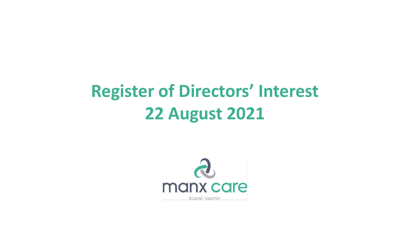## **Register of Directors' Interest 22 August 2021**

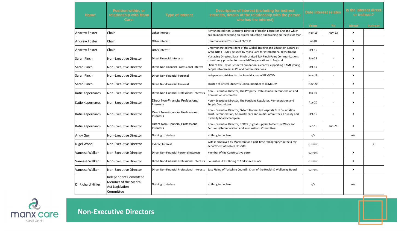| Name:              | Position within, or<br>relationship with Manx<br>Care:                               | <b>Type of Interest</b>                        | Description of Interest (including for indirect<br>Interests, details of the relationship with the person<br>who has the interest)                                        | Date interest relates |               | Is the interest direct<br>or indirect? |                 |
|--------------------|--------------------------------------------------------------------------------------|------------------------------------------------|---------------------------------------------------------------------------------------------------------------------------------------------------------------------------|-----------------------|---------------|----------------------------------------|-----------------|
|                    |                                                                                      |                                                |                                                                                                                                                                           | From                  | To            | <b>Direct</b>                          | <b>Indirect</b> |
| Andrew Foster      | Chair                                                                                | Other interest                                 | Remunerated Non-Executive Director of Health Education England which<br>has an indirect bearing on clinical education and training on the Isle of Man                     | <b>Nov-19</b>         | <b>Nov-23</b> | X                                      |                 |
| Andrew Foster      | Chair                                                                                | Other interest                                 | Unremunerated Trustee of ENT UK                                                                                                                                           | Jul-20                |               | X                                      |                 |
| lAndrew Foster     | Chair                                                                                | Other interest                                 | Unremunerated President of the Global Training and Education Centre at<br>WWL NHS FT. May be used by Manx Care for international recruitment                              | $Oct-19$              |               | X                                      |                 |
| Sarah Pinch        | Non-Executive Director                                                               | <b>Direct Financial Interests</b>              | Managing Director, Sarah Pinch Limited T/A Pinch Point Communications,<br>consultancy provider for many NHS organisations in England                                      | $Jan-13$              |               | X                                      |                 |
| Sarah Pinch        | Non-Executive Director                                                               | Direct Non Financial Professional Interest     | Chair of The Taylor Bennett Foundation, a charity supporting BAME young<br>people into careers in PR and Communications                                                   | Oct-17                |               | X                                      |                 |
| Sarah Pinch        | Non-Executive Director                                                               | Direct Non-Financial Personal                  | Independent Advisor to the Senedd, chair of REMCOM                                                                                                                        | <b>Nov-18</b>         |               | $\mathbf{x}$                           |                 |
| Sarah Pinch        | <b>Non-Executive Director</b>                                                        | Direct Non-Financial Personal                  | Trustee of Bristol Students Union, member of REMCOM                                                                                                                       | <b>Nov-20</b>         |               | $\mathbf{x}$                           |                 |
| Katie Kapernaros   | Non-Executive Director                                                               | Direct Non-Financial Professional Interests    | Non - Executive Director, The Property Ombudsman. Remuneration and<br><b>Nominations Committe</b>                                                                         | Jan-19                |               | X                                      |                 |
| Katie Kapernaros   | Non-Executive Director                                                               | Direct Non-Financial Professional<br>Interests | Non - Executive Director, The Pensions Regulator. Remuneration and<br>People Committee.                                                                                   | Apr-20                |               | $\mathbf{x}$                           |                 |
| Katie Kapernaros   | Non-Executive Director                                                               | Direct Non-Financial Professional<br>Interests | Non - Executive Director, Oxford University Hospitals NHS Foundation<br>Trust. Remuneration, Appointments and Audit Committees, Equality and<br>Diversity board champion. | Oct-19                |               | X                                      |                 |
| Katie Kapernaros   | Non-Executive Director                                                               | Direct Non-Financial Professional<br>Interests | Non - Executive Director, BPDTS (Digital supplier to Dept. of Work and<br>Pensions) Remuneration and Nominations Committees.                                              | Feb-19                | Jun-21        | $\mathbf{x}$                           |                 |
| Andy Guy           | Non-Executive Director                                                               | Nothing to declare                             | Nothing to declare                                                                                                                                                        | n/a                   |               | n/a                                    |                 |
| Nigel Wood         | Non-Executive Director                                                               | Indirect Interest                              | Wife is employed by Manx care as a part-time radiographer in the X ray<br>department of Nobles Hospital                                                                   | current               |               |                                        | X               |
| Vanessa Walker     | <b>Non-Executive Director</b>                                                        | Direct Non-Financial Personal Interests        | Member of the Conservative party                                                                                                                                          | current               |               | X                                      |                 |
| lVanessa Walker    | Non-Executive Director                                                               | Direct Non-Financial Professional Interests    | Councillor - East Riding of Yorkshire Council                                                                                                                             | current               |               | X                                      |                 |
| Vanessa Walker     | Non-Executive Director                                                               | Direct Non-Financial Professional Interests    | East Riding of Yorkshire Council - Chair of the Health & Wellbeing Board                                                                                                  | current               |               | X                                      |                 |
| Dr Richard Hillier | Independent Committee<br>Member of the Mental<br><b>Act Legislation</b><br>Committee | Nothing to declare                             | Nothing to declare                                                                                                                                                        | n/a                   |               | n/a                                    |                 |